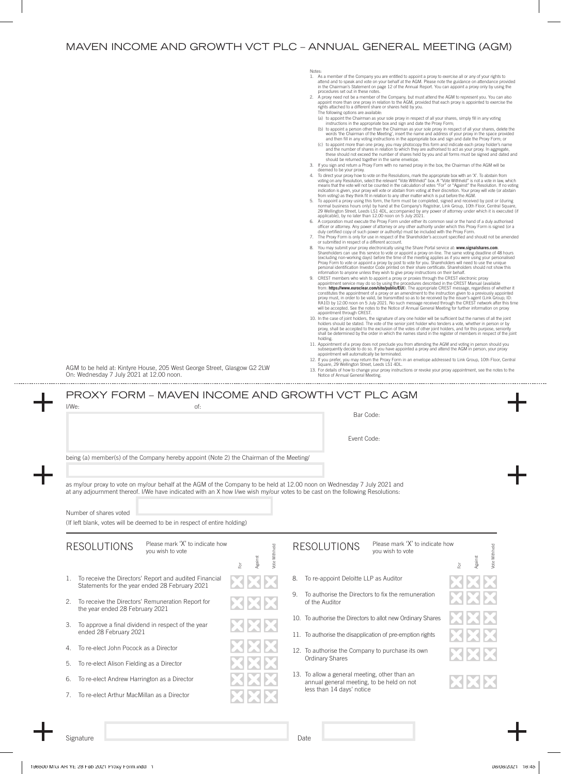## MAVEN INCOME AND GROWTH VCT PLC – ANNUAL GENERAL MEETING (AGM)

| AGM to be held at: Kintyre House, 205 West George Street, Glasgow G2 2LW<br>On: Wednesday 7 July 2021 at 12.00 noon.                                                                                                                                                                                                                                                                                                                                       |                               | <b>Notes</b><br>1. As a member of the Company you are entitled to appoint a proxy to exercise all or any of your rights to<br>attend and to speak and vote on your behalf at the AGM. Please note the guidance on attendance provided<br>in the Chairman's Statement on page 12 of the Annual Report. You can appoint a proxy only by using the<br>procedures set out in these notes.<br>2. A proxy need not be a member of the Company, but must attend the AGM to represent you. You can also<br>appoint more than one proxy in relation to the AGM, provided that each proxy is appointed to exercise the<br>rights attached to a different share or shares held by you.<br>The following options are available:<br>(a) to appoint the Chairman as your sole proxy in respect of all your shares, simply fill in any voting<br>instructions in the appropriate box and sign and date the Proxy Form;<br>(b) to appoint a person other than the Chairman as your sole proxy in respect of all your shares, delete the<br>words 'the Chairman of the Meeting', insert the name and address of your proxy in the space provided<br>and then fill in any voting instructions in the appropriate box and sign and date the Proxy Form; or<br>(c) to appoint more than one proxy, you may photocopy this form and indicate each proxy holder's name<br>and the number of shares in relation to which they are authorised to act as your proxy. In aggregate,<br>these should not exceed the number of shares held by you and all forms must be signed and dated and<br>should be returned together in the same envelope.<br>3. If you sign and return a Proxy Form with no named proxy in the box, the Chairman of the AGM will be<br>deemed to be your proxy.<br>4. To direct your proxy how to vote on the Resolutions, mark the appropriate box with an 'X'. To abstain from<br>voting on any Resolution, select the relevant "Vote Withheld" box. A "Vote Withheld" is not a vote in law, which<br>means that the vote will not be counted in the calculation of votes "For" or "Against" the Resolution. If no voting<br>indication is given, your proxy will vote or abstain from voting at their discretion. Your proxy will vote (or abstain<br>from voting) as they think fit in relation to any other matter which is put before the AGM.<br>5. To appoint a proxy using this form, the form must be completed, signed and received by post or (during<br>normal business hours only) by hand at the Company's Registrar, Link Group, 10th Floor, Central Square,<br>29 Wellington Street, Leeds LS1 4DL, accompanied by any power of attorney under which it is executed (if<br>applicable), by no later than 12.00 noon on 5 July 2021.<br>6. A corporation must execute the Proxy Form under either its common seal or the hand of a duly authorised<br>officer or attorney. Any power of attorney or any other authority under which this Proxy Form is signed (or a<br>duly certified copy of such power or authority) must be included with the Proxy Form.<br>7. The Proxy Form is only for use in respect of the Shareholder's account specified and should not be amended<br>or submitted in respect of a different account.<br>8. You may submit your proxy electronically using the Share Portal service at: www.signalshares.com.<br>Shareholders can use this service to vote or appoint a proxy on-line. The same voting deadline of 48 hours<br>(excluding non-working days) before the time of the meeting applies as if you were using your personalised<br>Proxy Form to vote or appoint a proxy by post to vote for you. Shareholders will need to use the unique<br>personal identification Investor Code printed on their share certificate. Shareholders should not show this<br>information to anyone unless they wish to give proxy instructions on their behalf.<br>9. CREST members who wish to appoint a proxy or proxies through the CREST electronic proxy<br>appointment service may do so by using the procedures described in the CREST Manual (available<br>from: https://www.euroclear.com/site/public/EUI). The appropriate CREST message, regardless of whether it<br>constitutes the appointment of a proxy or an amendment to the instruction given to a previously appointed<br>proxy must, in order to be valid, be transmitted so as to be received by the issuer's agent (Link Group; ID:<br>RA10) by 12.00 noon on 5 July 2021. No such message received through the CREST network after this time<br>will be accepted. See the notes to the Notice of Annual General Meeting for further information on proxy<br>appointment through CREST.<br>10. In the case of joint holders, the signature of any one holder will be sufficient but the names of all the joint<br>holders should be stated. The vote of the senior joint holder who tenders a vote, whether in person or by<br>proxy, shall be accepted to the exclusion of the votes of other joint holders, and for this purpose, seniority<br>shall be determined by the order in which the names stand in the register of members in respect of the joint<br>holding.<br>11. Appointment of a proxy does not preclude you from attending the AGM and voting in person should you<br>subsequently decide to do so. If you have appointed a proxy and attend the AGM in person, your proxy<br>appointment will automatically be terminated.<br>12. If you prefer, you may return the Proxy Form in an envelope addressed to Link Group, 10th Floor, Central<br>Square, 29 Wellington Street, Leeds LS1 4DL.<br>13. For details of how to change your proxy instructions or revoke your proxy appointment, see the notes to the<br>Notice of Annual General Meeting. |
|------------------------------------------------------------------------------------------------------------------------------------------------------------------------------------------------------------------------------------------------------------------------------------------------------------------------------------------------------------------------------------------------------------------------------------------------------------|-------------------------------|------------------------------------------------------------------------------------------------------------------------------------------------------------------------------------------------------------------------------------------------------------------------------------------------------------------------------------------------------------------------------------------------------------------------------------------------------------------------------------------------------------------------------------------------------------------------------------------------------------------------------------------------------------------------------------------------------------------------------------------------------------------------------------------------------------------------------------------------------------------------------------------------------------------------------------------------------------------------------------------------------------------------------------------------------------------------------------------------------------------------------------------------------------------------------------------------------------------------------------------------------------------------------------------------------------------------------------------------------------------------------------------------------------------------------------------------------------------------------------------------------------------------------------------------------------------------------------------------------------------------------------------------------------------------------------------------------------------------------------------------------------------------------------------------------------------------------------------------------------------------------------------------------------------------------------------------------------------------------------------------------------------------------------------------------------------------------------------------------------------------------------------------------------------------------------------------------------------------------------------------------------------------------------------------------------------------------------------------------------------------------------------------------------------------------------------------------------------------------------------------------------------------------------------------------------------------------------------------------------------------------------------------------------------------------------------------------------------------------------------------------------------------------------------------------------------------------------------------------------------------------------------------------------------------------------------------------------------------------------------------------------------------------------------------------------------------------------------------------------------------------------------------------------------------------------------------------------------------------------------------------------------------------------------------------------------------------------------------------------------------------------------------------------------------------------------------------------------------------------------------------------------------------------------------------------------------------------------------------------------------------------------------------------------------------------------------------------------------------------------------------------------------------------------------------------------------------------------------------------------------------------------------------------------------------------------------------------------------------------------------------------------------------------------------------------------------------------------------------------------------------------------------------------------------------------------------------------------------------------------------------------------------------------------------------------------------------------------------------------------------------------------------------------------------------------------------------------------------------------------------------------------------------------------------------------------------------------------------------------------------------------------------------------------------------------------------------------------------------------------------------------------------------------------------------------------------------------------------------------------------------------------------------------------------------------------------------------------------------------------------------------------------------------------------------------------------------------------------------------------------------------------------------------------------------------------------------------------------------------------------------------------------------------------------------------------------------------------------------------------------------------------------------------------------------------------------------------------------------------------------------------------------------------------------------------------------------------------------------------------------------------------------------------------------------------------------------------------------------------------------------------------------------|
| PROXY FORM - MAVEN INCOME AND GROWTH VCT PLC AGM<br>$I/We$ :<br>of:                                                                                                                                                                                                                                                                                                                                                                                        |                               | Bar Code:<br>Event Code:                                                                                                                                                                                                                                                                                                                                                                                                                                                                                                                                                                                                                                                                                                                                                                                                                                                                                                                                                                                                                                                                                                                                                                                                                                                                                                                                                                                                                                                                                                                                                                                                                                                                                                                                                                                                                                                                                                                                                                                                                                                                                                                                                                                                                                                                                                                                                                                                                                                                                                                                                                                                                                                                                                                                                                                                                                                                                                                                                                                                                                                                                                                                                                                                                                                                                                                                                                                                                                                                                                                                                                                                                                                                                                                                                                                                                                                                                                                                                                                                                                                                                                                                                                                                                                                                                                                                                                                                                                                                                                                                                                                                                                                                                                                                                                                                                                                                                                                                                                                                                                                                                                                                                                                                                                                                                                                                                                                                                                                                                                                                                                                                                                                                                                                                                     |
| being (a) member(s) of the Company hereby appoint (Note 2) the Chairman of the Meeting/<br>as my/our proxy to vote on my/our behalf at the AGM of the Company to be held at 12.00 noon on Wednesday 7 July 2021 and<br>at any adjournment thereof. I/We have indicated with an X how I/we wish my/our votes to be cast on the following Resolutions:<br>Number of shares voted<br>(If left blank, votes will be deemed to be in respect of entire holding) |                               |                                                                                                                                                                                                                                                                                                                                                                                                                                                                                                                                                                                                                                                                                                                                                                                                                                                                                                                                                                                                                                                                                                                                                                                                                                                                                                                                                                                                                                                                                                                                                                                                                                                                                                                                                                                                                                                                                                                                                                                                                                                                                                                                                                                                                                                                                                                                                                                                                                                                                                                                                                                                                                                                                                                                                                                                                                                                                                                                                                                                                                                                                                                                                                                                                                                                                                                                                                                                                                                                                                                                                                                                                                                                                                                                                                                                                                                                                                                                                                                                                                                                                                                                                                                                                                                                                                                                                                                                                                                                                                                                                                                                                                                                                                                                                                                                                                                                                                                                                                                                                                                                                                                                                                                                                                                                                                                                                                                                                                                                                                                                                                                                                                                                                                                                                                              |
| Please mark 'X' to indicate how<br><b>RESOLUTIONS</b><br>vou wish to vote                                                                                                                                                                                                                                                                                                                                                                                  | Vote Withheld<br>Against<br>Ĕ | Please mark 'X' to indicate how<br><b>RESOLUTIONS</b><br>Vote Withheld<br>you wish to vote<br>Against<br>Ĕ                                                                                                                                                                                                                                                                                                                                                                                                                                                                                                                                                                                                                                                                                                                                                                                                                                                                                                                                                                                                                                                                                                                                                                                                                                                                                                                                                                                                                                                                                                                                                                                                                                                                                                                                                                                                                                                                                                                                                                                                                                                                                                                                                                                                                                                                                                                                                                                                                                                                                                                                                                                                                                                                                                                                                                                                                                                                                                                                                                                                                                                                                                                                                                                                                                                                                                                                                                                                                                                                                                                                                                                                                                                                                                                                                                                                                                                                                                                                                                                                                                                                                                                                                                                                                                                                                                                                                                                                                                                                                                                                                                                                                                                                                                                                                                                                                                                                                                                                                                                                                                                                                                                                                                                                                                                                                                                                                                                                                                                                                                                                                                                                                                                                   |
| To receive the Directors' Report and audited Financial<br>1.                                                                                                                                                                                                                                                                                                                                                                                               |                               | To re-appoint Deloitte LLP as Auditor<br>8.                                                                                                                                                                                                                                                                                                                                                                                                                                                                                                                                                                                                                                                                                                                                                                                                                                                                                                                                                                                                                                                                                                                                                                                                                                                                                                                                                                                                                                                                                                                                                                                                                                                                                                                                                                                                                                                                                                                                                                                                                                                                                                                                                                                                                                                                                                                                                                                                                                                                                                                                                                                                                                                                                                                                                                                                                                                                                                                                                                                                                                                                                                                                                                                                                                                                                                                                                                                                                                                                                                                                                                                                                                                                                                                                                                                                                                                                                                                                                                                                                                                                                                                                                                                                                                                                                                                                                                                                                                                                                                                                                                                                                                                                                                                                                                                                                                                                                                                                                                                                                                                                                                                                                                                                                                                                                                                                                                                                                                                                                                                                                                                                                                                                                                                                  |
| Statements for the year ended 28 February 2021<br>To receive the Directors' Remuneration Report for<br>2.<br>the year ended 28 February 2021                                                                                                                                                                                                                                                                                                               |                               | 9. To authorise the Directors to fix the remuneration<br>of the Auditor                                                                                                                                                                                                                                                                                                                                                                                                                                                                                                                                                                                                                                                                                                                                                                                                                                                                                                                                                                                                                                                                                                                                                                                                                                                                                                                                                                                                                                                                                                                                                                                                                                                                                                                                                                                                                                                                                                                                                                                                                                                                                                                                                                                                                                                                                                                                                                                                                                                                                                                                                                                                                                                                                                                                                                                                                                                                                                                                                                                                                                                                                                                                                                                                                                                                                                                                                                                                                                                                                                                                                                                                                                                                                                                                                                                                                                                                                                                                                                                                                                                                                                                                                                                                                                                                                                                                                                                                                                                                                                                                                                                                                                                                                                                                                                                                                                                                                                                                                                                                                                                                                                                                                                                                                                                                                                                                                                                                                                                                                                                                                                                                                                                                                                      |
| To approve a final dividend in respect of the year<br>З.                                                                                                                                                                                                                                                                                                                                                                                                   |                               | 10. To authorise the Directors to allot new Ordinary Shares                                                                                                                                                                                                                                                                                                                                                                                                                                                                                                                                                                                                                                                                                                                                                                                                                                                                                                                                                                                                                                                                                                                                                                                                                                                                                                                                                                                                                                                                                                                                                                                                                                                                                                                                                                                                                                                                                                                                                                                                                                                                                                                                                                                                                                                                                                                                                                                                                                                                                                                                                                                                                                                                                                                                                                                                                                                                                                                                                                                                                                                                                                                                                                                                                                                                                                                                                                                                                                                                                                                                                                                                                                                                                                                                                                                                                                                                                                                                                                                                                                                                                                                                                                                                                                                                                                                                                                                                                                                                                                                                                                                                                                                                                                                                                                                                                                                                                                                                                                                                                                                                                                                                                                                                                                                                                                                                                                                                                                                                                                                                                                                                                                                                                                                  |
| ended 28 February 2021<br>To re-elect John Pocock as a Director<br>4.                                                                                                                                                                                                                                                                                                                                                                                      |                               | 11. To authorise the disapplication of pre-emption rights                                                                                                                                                                                                                                                                                                                                                                                                                                                                                                                                                                                                                                                                                                                                                                                                                                                                                                                                                                                                                                                                                                                                                                                                                                                                                                                                                                                                                                                                                                                                                                                                                                                                                                                                                                                                                                                                                                                                                                                                                                                                                                                                                                                                                                                                                                                                                                                                                                                                                                                                                                                                                                                                                                                                                                                                                                                                                                                                                                                                                                                                                                                                                                                                                                                                                                                                                                                                                                                                                                                                                                                                                                                                                                                                                                                                                                                                                                                                                                                                                                                                                                                                                                                                                                                                                                                                                                                                                                                                                                                                                                                                                                                                                                                                                                                                                                                                                                                                                                                                                                                                                                                                                                                                                                                                                                                                                                                                                                                                                                                                                                                                                                                                                                                    |
| 5.<br>To re-elect Alison Fielding as a Director                                                                                                                                                                                                                                                                                                                                                                                                            |                               | 12. To authorise the Company to purchase its own<br><b>Ordinary Shares</b>                                                                                                                                                                                                                                                                                                                                                                                                                                                                                                                                                                                                                                                                                                                                                                                                                                                                                                                                                                                                                                                                                                                                                                                                                                                                                                                                                                                                                                                                                                                                                                                                                                                                                                                                                                                                                                                                                                                                                                                                                                                                                                                                                                                                                                                                                                                                                                                                                                                                                                                                                                                                                                                                                                                                                                                                                                                                                                                                                                                                                                                                                                                                                                                                                                                                                                                                                                                                                                                                                                                                                                                                                                                                                                                                                                                                                                                                                                                                                                                                                                                                                                                                                                                                                                                                                                                                                                                                                                                                                                                                                                                                                                                                                                                                                                                                                                                                                                                                                                                                                                                                                                                                                                                                                                                                                                                                                                                                                                                                                                                                                                                                                                                                                                   |
| To re-elect Andrew Harrington as a Director<br>6.<br>To re-elect Arthur MacMillan as a Director<br>7.                                                                                                                                                                                                                                                                                                                                                      |                               | 13. To allow a general meeting, other than an<br>annual general meeting, to be held on not<br>less than 14 days' notice                                                                                                                                                                                                                                                                                                                                                                                                                                                                                                                                                                                                                                                                                                                                                                                                                                                                                                                                                                                                                                                                                                                                                                                                                                                                                                                                                                                                                                                                                                                                                                                                                                                                                                                                                                                                                                                                                                                                                                                                                                                                                                                                                                                                                                                                                                                                                                                                                                                                                                                                                                                                                                                                                                                                                                                                                                                                                                                                                                                                                                                                                                                                                                                                                                                                                                                                                                                                                                                                                                                                                                                                                                                                                                                                                                                                                                                                                                                                                                                                                                                                                                                                                                                                                                                                                                                                                                                                                                                                                                                                                                                                                                                                                                                                                                                                                                                                                                                                                                                                                                                                                                                                                                                                                                                                                                                                                                                                                                                                                                                                                                                                                                                      |
|                                                                                                                                                                                                                                                                                                                                                                                                                                                            |                               |                                                                                                                                                                                                                                                                                                                                                                                                                                                                                                                                                                                                                                                                                                                                                                                                                                                                                                                                                                                                                                                                                                                                                                                                                                                                                                                                                                                                                                                                                                                                                                                                                                                                                                                                                                                                                                                                                                                                                                                                                                                                                                                                                                                                                                                                                                                                                                                                                                                                                                                                                                                                                                                                                                                                                                                                                                                                                                                                                                                                                                                                                                                                                                                                                                                                                                                                                                                                                                                                                                                                                                                                                                                                                                                                                                                                                                                                                                                                                                                                                                                                                                                                                                                                                                                                                                                                                                                                                                                                                                                                                                                                                                                                                                                                                                                                                                                                                                                                                                                                                                                                                                                                                                                                                                                                                                                                                                                                                                                                                                                                                                                                                                                                                                                                                                              |

Signature **Date** 

. . . . . . . . . . . . . . . . .